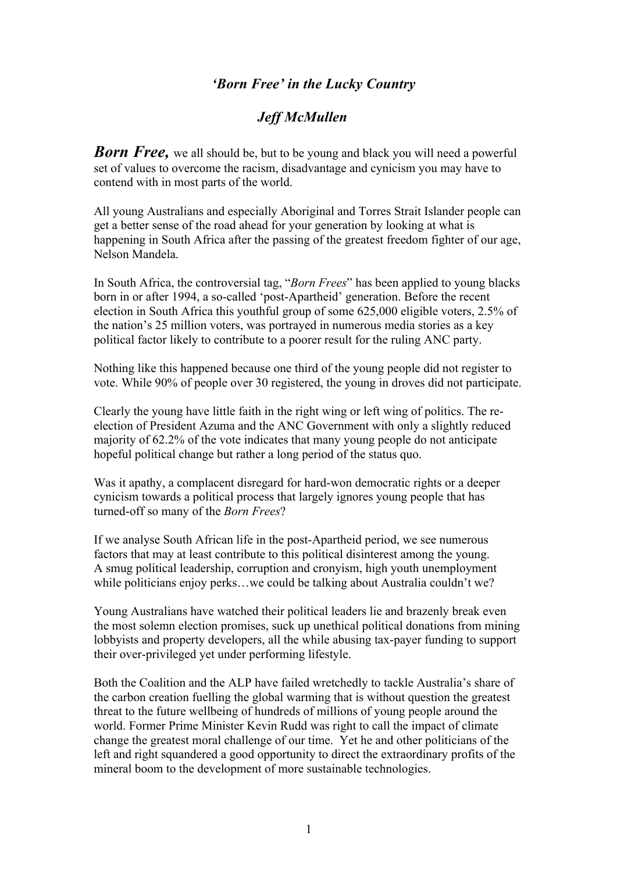## *'Born Free' in the Lucky Country*

## *Jeff McMullen*

**Born Free,** we all should be, but to be young and black you will need a powerful set of values to overcome the racism, disadvantage and cynicism you may have to contend with in most parts of the world.

All young Australians and especially Aboriginal and Torres Strait Islander people can get a better sense of the road ahead for your generation by looking at what is happening in South Africa after the passing of the greatest freedom fighter of our age, Nelson Mandela.

In South Africa, the controversial tag, "*Born Frees*" has been applied to young blacks born in or after 1994, a so-called 'post-Apartheid' generation. Before the recent election in South Africa this youthful group of some 625,000 eligible voters, 2.5% of the nation's 25 million voters, was portrayed in numerous media stories as a key political factor likely to contribute to a poorer result for the ruling ANC party.

Nothing like this happened because one third of the young people did not register to vote. While 90% of people over 30 registered, the young in droves did not participate.

Clearly the young have little faith in the right wing or left wing of politics. The reelection of President Azuma and the ANC Government with only a slightly reduced majority of 62.2% of the vote indicates that many young people do not anticipate hopeful political change but rather a long period of the status quo.

Was it apathy, a complacent disregard for hard-won democratic rights or a deeper cynicism towards a political process that largely ignores young people that has turned-off so many of the *Born Frees*?

If we analyse South African life in the post-Apartheid period, we see numerous factors that may at least contribute to this political disinterest among the young. A smug political leadership, corruption and cronyism, high youth unemployment while politicians enjoy perks...we could be talking about Australia couldn't we?

Young Australians have watched their political leaders lie and brazenly break even the most solemn election promises, suck up unethical political donations from mining lobbyists and property developers, all the while abusing tax-payer funding to support their over-privileged yet under performing lifestyle.

Both the Coalition and the ALP have failed wretchedly to tackle Australia's share of the carbon creation fuelling the global warming that is without question the greatest threat to the future wellbeing of hundreds of millions of young people around the world. Former Prime Minister Kevin Rudd was right to call the impact of climate change the greatest moral challenge of our time. Yet he and other politicians of the left and right squandered a good opportunity to direct the extraordinary profits of the mineral boom to the development of more sustainable technologies.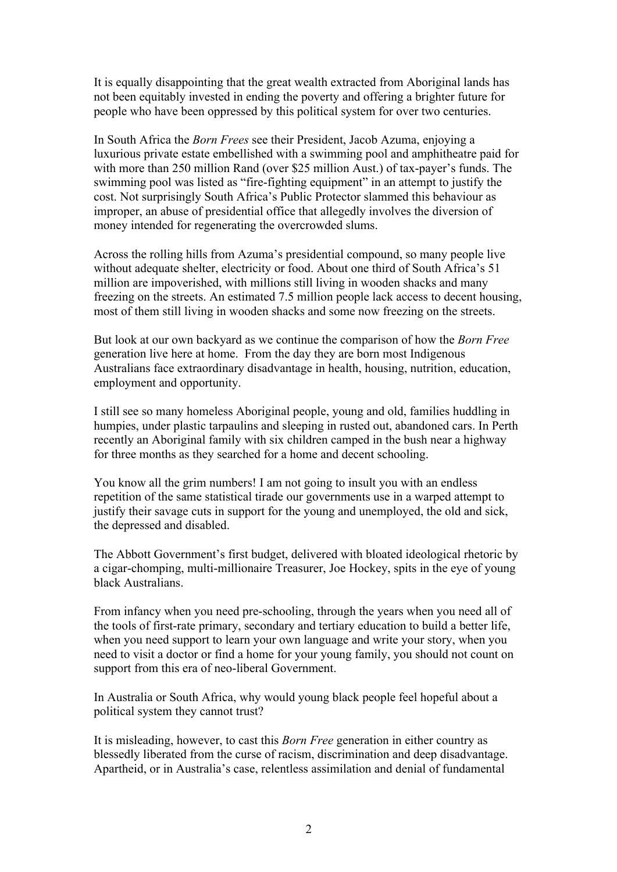It is equally disappointing that the great wealth extracted from Aboriginal lands has not been equitably invested in ending the poverty and offering a brighter future for people who have been oppressed by this political system for over two centuries.

In South Africa the *Born Frees* see their President, Jacob Azuma, enjoying a luxurious private estate embellished with a swimming pool and amphitheatre paid for with more than 250 million Rand (over \$25 million Aust.) of tax-payer's funds. The swimming pool was listed as "fire-fighting equipment" in an attempt to justify the cost. Not surprisingly South Africa's Public Protector slammed this behaviour as improper, an abuse of presidential office that allegedly involves the diversion of money intended for regenerating the overcrowded slums.

Across the rolling hills from Azuma's presidential compound, so many people live without adequate shelter, electricity or food. About one third of South Africa's 51 million are impoverished, with millions still living in wooden shacks and many freezing on the streets. An estimated 7.5 million people lack access to decent housing, most of them still living in wooden shacks and some now freezing on the streets.

But look at our own backyard as we continue the comparison of how the *Born Free*  generation live here at home. From the day they are born most Indigenous Australians face extraordinary disadvantage in health, housing, nutrition, education, employment and opportunity.

I still see so many homeless Aboriginal people, young and old, families huddling in humpies, under plastic tarpaulins and sleeping in rusted out, abandoned cars. In Perth recently an Aboriginal family with six children camped in the bush near a highway for three months as they searched for a home and decent schooling.

You know all the grim numbers! I am not going to insult you with an endless repetition of the same statistical tirade our governments use in a warped attempt to justify their savage cuts in support for the young and unemployed, the old and sick, the depressed and disabled.

The Abbott Government's first budget, delivered with bloated ideological rhetoric by a cigar-chomping, multi-millionaire Treasurer, Joe Hockey, spits in the eye of young black Australians.

From infancy when you need pre-schooling, through the years when you need all of the tools of first-rate primary, secondary and tertiary education to build a better life, when you need support to learn your own language and write your story, when you need to visit a doctor or find a home for your young family, you should not count on support from this era of neo-liberal Government.

In Australia or South Africa, why would young black people feel hopeful about a political system they cannot trust?

It is misleading, however, to cast this *Born Free* generation in either country as blessedly liberated from the curse of racism, discrimination and deep disadvantage. Apartheid, or in Australia's case, relentless assimilation and denial of fundamental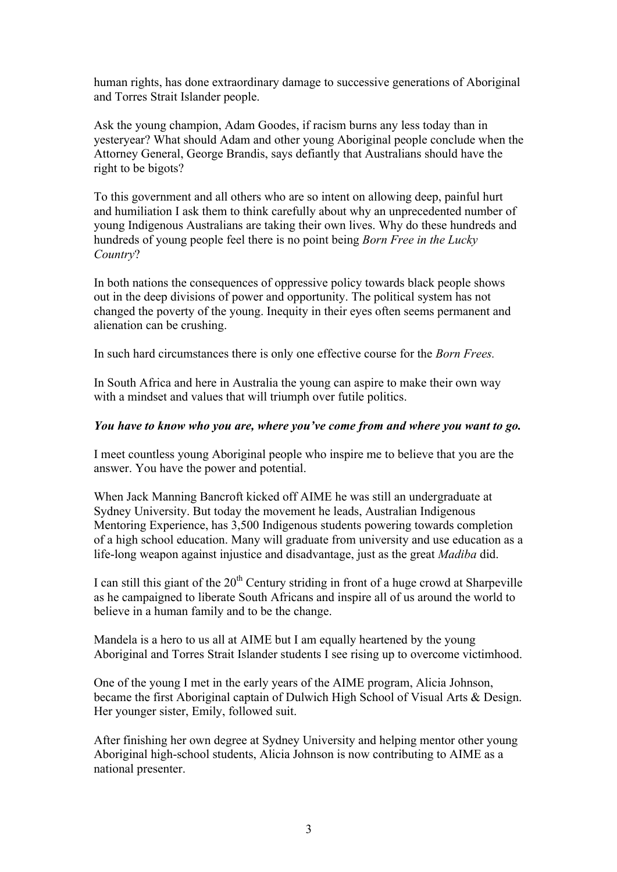human rights, has done extraordinary damage to successive generations of Aboriginal and Torres Strait Islander people.

Ask the young champion, Adam Goodes, if racism burns any less today than in yesteryear? What should Adam and other young Aboriginal people conclude when the Attorney General, George Brandis, says defiantly that Australians should have the right to be bigots?

To this government and all others who are so intent on allowing deep, painful hurt and humiliation I ask them to think carefully about why an unprecedented number of young Indigenous Australians are taking their own lives. Why do these hundreds and hundreds of young people feel there is no point being *Born Free in the Lucky Country*?

In both nations the consequences of oppressive policy towards black people shows out in the deep divisions of power and opportunity. The political system has not changed the poverty of the young. Inequity in their eyes often seems permanent and alienation can be crushing.

In such hard circumstances there is only one effective course for the *Born Frees.*

In South Africa and here in Australia the young can aspire to make their own way with a mindset and values that will triumph over futile politics.

## *You have to know who you are, where you've come from and where you want to go.*

I meet countless young Aboriginal people who inspire me to believe that you are the answer. You have the power and potential.

When Jack Manning Bancroft kicked off AIME he was still an undergraduate at Sydney University. But today the movement he leads, Australian Indigenous Mentoring Experience, has 3,500 Indigenous students powering towards completion of a high school education. Many will graduate from university and use education as a life-long weapon against injustice and disadvantage, just as the great *Madiba* did.

I can still this giant of the  $20<sup>th</sup>$  Century striding in front of a huge crowd at Sharpeville as he campaigned to liberate South Africans and inspire all of us around the world to believe in a human family and to be the change.

Mandela is a hero to us all at AIME but I am equally heartened by the young Aboriginal and Torres Strait Islander students I see rising up to overcome victimhood.

One of the young I met in the early years of the AIME program, Alicia Johnson, became the first Aboriginal captain of Dulwich High School of Visual Arts & Design. Her younger sister, Emily, followed suit.

After finishing her own degree at Sydney University and helping mentor other young Aboriginal high-school students, Alicia Johnson is now contributing to AIME as a national presenter.